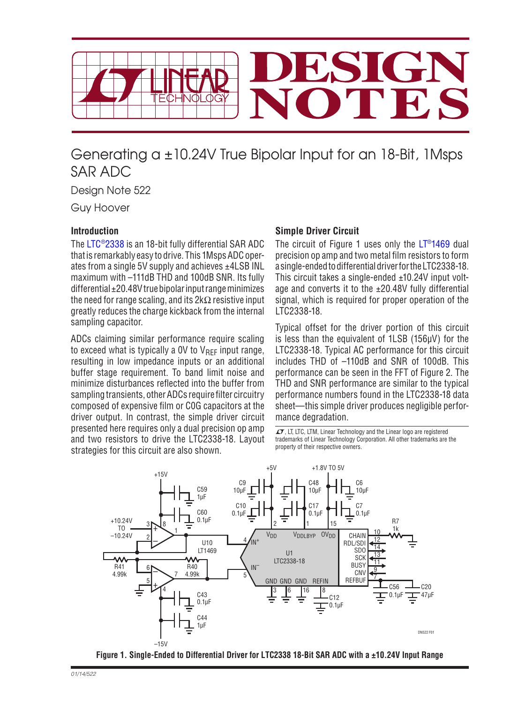

# Generating a ±10.24V True Bipolar Input for an 18-Bit, 1Msps SAR ADC

Design Note 522

Guy Hoover

## **Introduction**

The [LTC®2338](http://www.linear.com/LTC2338-18) is an 18-bit fully differential SAR ADC thatis remarkably easy to drive. This 1MspsADCoperates from a single 5V supply and achieves ±4LSB INL maximum with  $-111$ dB THD and 100dB SNR. Its fully differential  $\pm 20.48V$  true bipolar input range minimizes the need for range scaling, and its  $2k\Omega$  resistive input greatly reduces the charge kickback from the internal sampling capacitor.

ADCs claiming similar performance require scaling to exceed what is typically a 0V to  $V_{\text{RFF}}$  input range, resulting in low impedance inputs or an additional buffer stage requirement. To band limit noise and minimize disturbances reflected into the buffer from sampling transients, other ADCs require filter circuitry composed of expensive film or C0G capacitors at the driver output. In contrast, the simple driver circuit presented here requires only a dual precision op amp and two resistors to drive the LTC2338-18. Layout strategies for this circuit are also shown.

#### **Simple Driver Circuit**

The circuit of Figure 1 uses only the  $LT<sup>®</sup>1469$  dual precision op amp and two metal film resistors to form a single-endedtodifferentialdriverfortheLTC2338-18. This circuit takes a single-ended ±10.24V input voltage and converts it to the  $\pm 20.48V$  fully differential signal, which is required for proper operation of the LTC2338-18.

Typical offset for the driver portion of this circuit is less than the equivalent of 1LSB (156µV) for the LTC2338-18. Typical AC performance for this circuit includes THD of –110dB and SNR of 100dB. This performance can be seen in the FFT of Figure 2. The THD and SNR performance are similar to the typical performance numbers found in the LTC2338-18 data sheet—this simple driver produces negligible performance degradation.

 $\sqrt{\frac{1}{1}}$ , LT, LTC, LTM, Linear Technology and the Linear logo are registered trademarks of Linear Technology Corporation. All other trademarks are the property of their respective owners.